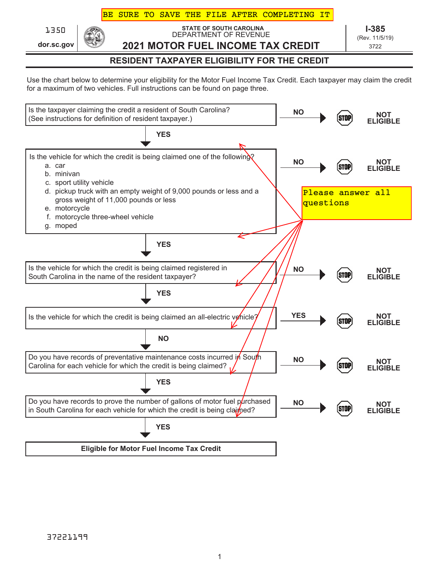# BE SURE TO SAVE THE FILE AFTER COMPLETING IT

**dor.sc.gov**

**STATE OF SOUTH CAROLINA** 1350 **I-385** DEPARTMENT OF REVENUE **2021 MOTOR FUEL INCOME TAX CREDIT**

(Rev. 11/5/19) 3722

**RESIDENT TAXPAYER ELIGIBILITY FOR THE CREDIT**

Use the chart below to determine your eligibility for the Motor Fuel Income Tax Credit. Each taxpayer may claim the credit for a maximum of two vehicles. Full instructions can be found on page three.

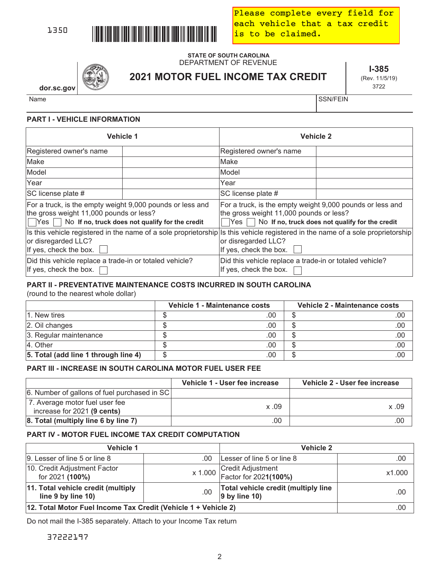

Please complete every field for each vehicle that a tax credit is to be claimed.

## **STATE OF SOUTH CAROLINA** DEPARTMENT OF REVENUE

**2021 MOTOR FUEL INCOME TAX CREDIT**

**I-385** (Rev. 11/5/19) 3722

**dor.sc.gov**

Name States in the state of the state of the state of the state of the SSN/FEIN

# **PART I - VEHICLE INFORMATION**

| <b>Vehicle 1</b>                                                                                                                                                          |  | <b>Vehicle 2</b>                                                                                                                                                                 |  |  |
|---------------------------------------------------------------------------------------------------------------------------------------------------------------------------|--|----------------------------------------------------------------------------------------------------------------------------------------------------------------------------------|--|--|
| Registered owner's name                                                                                                                                                   |  | Registered owner's name                                                                                                                                                          |  |  |
| Make                                                                                                                                                                      |  | Make                                                                                                                                                                             |  |  |
| Model                                                                                                                                                                     |  | Model                                                                                                                                                                            |  |  |
| Year                                                                                                                                                                      |  | Year                                                                                                                                                                             |  |  |
| SC license plate #                                                                                                                                                        |  | SC license plate #                                                                                                                                                               |  |  |
| For a truck, is the empty weight 9,000 pounds or less and<br>the gross weight 11,000 pounds or less?<br>$\Box$ Yes $\Box$ No If no, truck does not qualify for the credit |  | For a truck, is the empty weight 9,000 pounds or less and<br>the gross weight 11,000 pounds or less?<br>No If no, truck does not qualify for the credit<br> Yes                  |  |  |
| or disregarded LLC?<br>If yes, check the box.                                                                                                                             |  | Is this vehicle registered in the name of a sole proprietorship Is this vehicle registered in the name of a sole proprietorship<br>or disregarded LLC?<br>If yes, check the box. |  |  |
| Did this vehicle replace a trade-in or totaled vehicle?<br>If yes, check the box.                                                                                         |  | Did this vehicle replace a trade-in or totaled vehicle?<br>If yes, check the box.                                                                                                |  |  |

# **PART II - PREVENTATIVE MAINTENANCE COSTS INCURRED IN SOUTH CAROLINA**

(round to the nearest whole dollar)

|                                      | Vehicle 1 - Maintenance costs |     | Vehicle 2 - Maintenance costs |     |
|--------------------------------------|-------------------------------|-----|-------------------------------|-----|
| 1. New tires                         |                               | .00 |                               | .00 |
| 2. Oil changes                       |                               | .00 |                               | .00 |
| 3. Regular maintenance               |                               | .00 |                               | .00 |
| 4. Other                             |                               | .00 |                               | .00 |
| 5. Total (add line 1 through line 4) |                               | .00 |                               | .00 |

# **PART III - INCREASE IN SOUTH CAROLINA MOTOR FUEL USER FEE**

|                                              | Vehicle 1 - User fee increase | Vehicle 2 - User fee increase |
|----------------------------------------------|-------------------------------|-------------------------------|
| 6. Number of gallons of fuel purchased in SC |                               |                               |
| 7. Average motor fuel user fee               | x.09                          | x.09                          |
| increase for 2021 (9 cents)                  |                               |                               |
| 8. Total (multiply line 6 by line 7)         | .00                           | .00.                          |

# **PART IV - MOTOR FUEL INCOME TAX CREDIT COMPUTATION**

| <b>Vehicle 1</b>                                               |     | <b>Vehicle 2</b>                                                                            |        |
|----------------------------------------------------------------|-----|---------------------------------------------------------------------------------------------|--------|
| 9. Lesser of line 5 or line 8                                  | .00 | Lesser of line 5 or line 8                                                                  | .00    |
| 10. Credit Adjustment Factor<br>for 2021 (100%)                |     | x 1.000 $\begin{array}{ l }\n \hline\n \text{Factor for 2021(100%)}\n \hline\n \end{array}$ | x1.000 |
| 11. Total vehicle credit (multiply<br>line 9 by line 10)       | .00 | Total vehicle credit (multiply line<br>$ 9$ by line 10)                                     | .00    |
| 12. Total Motor Fuel Income Tax Credit (Vehicle 1 + Vehicle 2) | .00 |                                                                                             |        |

Do not mail the I-385 separately. Attach to your Income Tax return

37222197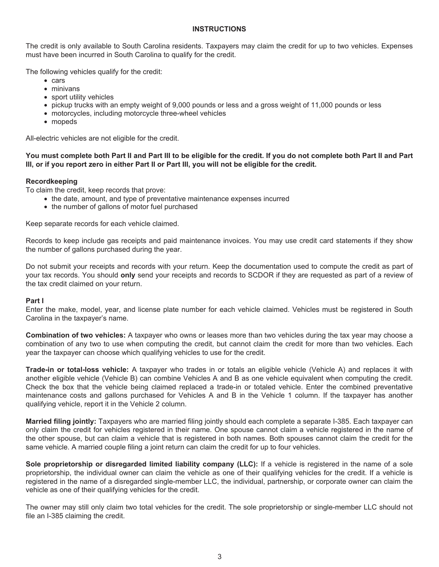#### **INSTRUCTIONS**

The credit is only available to South Carolina residents. Taxpayers may claim the credit for up to two vehicles. Expenses must have been incurred in South Carolina to qualify for the credit.

The following vehicles qualify for the credit:

- cars
- minivans
- sport utility vehicles
- pickup trucks with an empty weight of 9,000 pounds or less and a gross weight of 11,000 pounds or less
- motorcycles, including motorcycle three-wheel vehicles
- mopeds

All-electric vehicles are not eligible for the credit.

# **You must complete both Part II and Part III to be eligible for the credit. If you do not complete both Part II and Part III, or if you report zero in either Part II or Part III, you will not be eligible for the credit.**

# **Recordkeeping**

To claim the credit, keep records that prove:

- the date, amount, and type of preventative maintenance expenses incurred
- the number of gallons of motor fuel purchased

Keep separate records for each vehicle claimed.

Records to keep include gas receipts and paid maintenance invoices. You may use credit card statements if they show the number of gallons purchased during the year.

Do not submit your receipts and records with your return. Keep the documentation used to compute the credit as part of your tax records. You should **only** send your receipts and records to SCDOR if they are requested as part of a review of the tax credit claimed on your return.

#### **Part I**

Enter the make, model, year, and license plate number for each vehicle claimed. Vehicles must be registered in South Carolina in the taxpayer's name.

**Combination of two vehicles:** A taxpayer who owns or leases more than two vehicles during the tax year may choose a combination of any two to use when computing the credit, but cannot claim the credit for more than two vehicles. Each year the taxpayer can choose which qualifying vehicles to use for the credit.

**Trade-in or total-loss vehicle:** A taxpayer who trades in or totals an eligible vehicle (Vehicle A) and replaces it with another eligible vehicle (Vehicle B) can combine Vehicles A and B as one vehicle equivalent when computing the credit. Check the box that the vehicle being claimed replaced a trade-in or totaled vehicle. Enter the combined preventative maintenance costs and gallons purchased for Vehicles A and B in the Vehicle 1 column. If the taxpayer has another qualifying vehicle, report it in the Vehicle 2 column.

**Married filing jointly:** Taxpayers who are married filing jointly should each complete a separate I-385. Each taxpayer can only claim the credit for vehicles registered in their name. One spouse cannot claim a vehicle registered in the name of the other spouse, but can claim a vehicle that is registered in both names. Both spouses cannot claim the credit for the same vehicle. A married couple filing a joint return can claim the credit for up to four vehicles.

**Sole proprietorship or disregarded limited liability company (LLC):** If a vehicle is registered in the name of a sole proprietorship, the individual owner can claim the vehicle as one of their qualifying vehicles for the credit. If a vehicle is registered in the name of a disregarded single-member LLC, the individual, partnership, or corporate owner can claim the vehicle as one of their qualifying vehicles for the credit.

The owner may still only claim two total vehicles for the credit. The sole proprietorship or single-member LLC should not file an I-385 claiming the credit.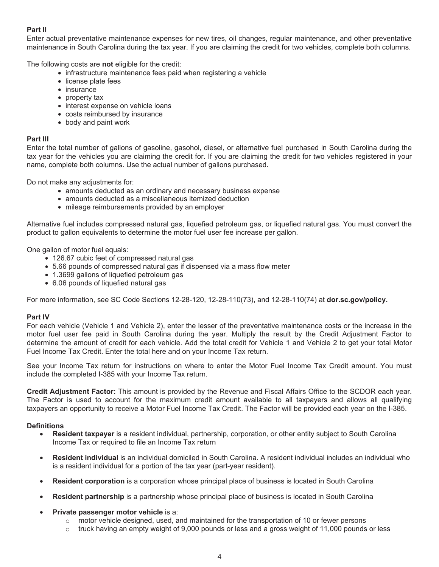# **Part II**

Enter actual preventative maintenance expenses for new tires, oil changes, regular maintenance, and other preventative maintenance in South Carolina during the tax year. If you are claiming the credit for two vehicles, complete both columns.

The following costs are **not** eligible for the credit:

- infrastructure maintenance fees paid when registering a vehicle
- license plate fees
- insurance
- property tax
- interest expense on vehicle loans
- costs reimbursed by insurance
- body and paint work

#### **Part III**

Enter the total number of gallons of gasoline, gasohol, diesel, or alternative fuel purchased in South Carolina during the tax year for the vehicles you are claiming the credit for. If you are claiming the credit for two vehicles registered in your name, complete both columns. Use the actual number of gallons purchased.

Do not make any adjustments for:

- amounts deducted as an ordinary and necessary business expense
- amounts deducted as a miscellaneous itemized deduction
- mileage reimbursements provided by an employer

Alternative fuel includes compressed natural gas, liquefied petroleum gas, or liquefied natural gas. You must convert the product to gallon equivalents to determine the motor fuel user fee increase per gallon.

One gallon of motor fuel equals:

- 126.67 cubic feet of compressed natural gas
- 5.66 pounds of compressed natural gas if dispensed via a mass flow meter
- 1.3699 gallons of liquefied petroleum gas
- 6.06 pounds of liquefied natural gas

For more information, see SC Code Sections 12-28-120, 12-28-110(73), and 12-28-110(74) at **dor.sc.gov/policy.** 

#### **Part IV**

For each vehicle (Vehicle 1 and Vehicle 2), enter the lesser of the preventative maintenance costs or the increase in the motor fuel user fee paid in South Carolina during the year. Multiply the result by the Credit Adjustment Factor to determine the amount of credit for each vehicle. Add the total credit for Vehicle 1 and Vehicle 2 to get your total Motor Fuel Income Tax Credit. Enter the total here and on your Income Tax return.

See your Income Tax return for instructions on where to enter the Motor Fuel Income Tax Credit amount. You must include the completed I-385 with your Income Tax return.

**Credit Adjustment Factor:** This amount is provided by the Revenue and Fiscal Affairs Office to the SCDOR each year. The Factor is used to account for the maximum credit amount available to all taxpayers and allows all qualifying taxpayers an opportunity to receive a Motor Fuel Income Tax Credit. The Factor will be provided each year on the I-385.

#### **Definitions**

- **Resident taxpayer** is a resident individual, partnership, corporation, or other entity subject to South Carolina Income Tax or required to file an Income Tax return
- **Resident individual** is an individual domiciled in South Carolina. A resident individual includes an individual who is a resident individual for a portion of the tax year (part-year resident).
- **Resident corporation** is a corporation whose principal place of business is located in South Carolina
- **Resident partnership** is a partnership whose principal place of business is located in South Carolina
- **Private passenger motor vehicle is a:** 
	- $\circ$  motor vehicle designed, used, and maintained for the transportation of 10 or fewer persons
	- $\circ$  truck having an empty weight of 9,000 pounds or less and a gross weight of 11,000 pounds or less